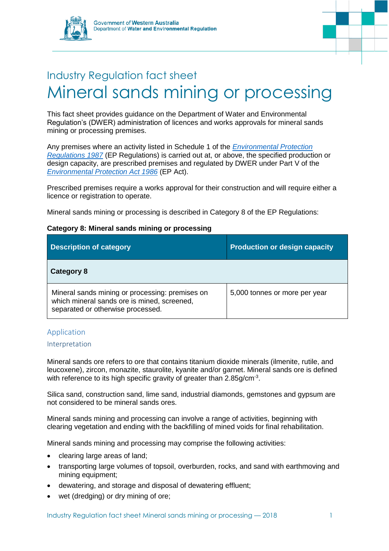



This fact sheet provides guidance on the Department of Water and Environmental Regulation's (DWER) administration of licences and works approvals for mineral sands mining or processing premises.

Any premises where an activity listed in Schedule 1 of the *[Environmental Protection](https://www.slp.wa.gov.au/legislation/statutes.nsf/main_mrtitle_1400_homepage.html)  [Regulations 1987](https://www.slp.wa.gov.au/legislation/statutes.nsf/main_mrtitle_1400_homepage.html)* (EP Regulations) is carried out at, or above, the specified production or design capacity, are prescribed premises and regulated by DWER under Part V of the *[Environmental Protection Act 1986](https://www.slp.wa.gov.au/legislation/statutes.nsf/main_mrtitle_304_homepage.html)* (EP Act).

Prescribed premises require a works approval for their construction and will require either a licence or registration to operate.

Mineral sands mining or processing is described in Category 8 of the EP Regulations:

### **Category 8: Mineral sands mining or processing**

| <b>Description of category</b>                                                                                                      | <b>Production or design capacity</b> |
|-------------------------------------------------------------------------------------------------------------------------------------|--------------------------------------|
| Category 8                                                                                                                          |                                      |
| Mineral sands mining or processing: premises on<br>which mineral sands ore is mined, screened,<br>separated or otherwise processed. | 5,000 tonnes or more per year        |

# Application

### Interpretation

Mineral sands ore refers to ore that contains titanium dioxide minerals (ilmenite, rutile, and leucoxene), zircon, monazite, staurolite, kyanite and/or garnet. Mineral sands ore is defined with reference to its high specific gravity of greater than  $2.85$ g/cm<sup>-3</sup>.

Silica sand, construction sand, lime sand, industrial diamonds, gemstones and gypsum are not considered to be mineral sands ores.

Mineral sands mining and processing can involve a range of activities, beginning with clearing vegetation and ending with the backfilling of mined voids for final rehabilitation.

Mineral sands mining and processing may comprise the following activities:

- clearing large areas of land;
- transporting large volumes of topsoil, overburden, rocks, and sand with earthmoving and mining equipment;
- dewatering, and storage and disposal of dewatering effluent;
- wet (dredging) or dry mining of ore;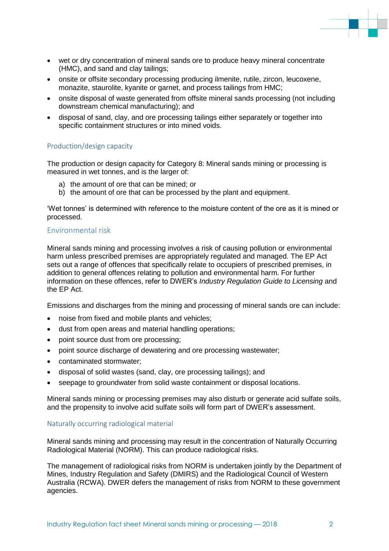

- wet or dry concentration of mineral sands ore to produce heavy mineral concentrate (HMC), and sand and clay tailings;
- onsite or offsite secondary processing producing ilmenite, rutile, zircon, leucoxene, monazite, staurolite, kyanite or garnet, and process tailings from HMC;
- onsite disposal of waste generated from offsite mineral sands processing (not including downstream chemical manufacturing); and
- disposal of sand, clay, and ore processing tailings either separately or together into specific containment structures or into mined voids.

# Production/design capacity

The production or design capacity for Category 8: Mineral sands mining or processing is measured in wet tonnes, and is the larger of:

- a) the amount of ore that can be mined; or
- b) the amount of ore that can be processed by the plant and equipment.

'Wet tonnes' is determined with reference to the moisture content of the ore as it is mined or processed.

# Environmental risk

Mineral sands mining and processing involves a risk of causing pollution or environmental harm unless prescribed premises are appropriately regulated and managed. The EP Act sets out a range of offences that specifically relate to occupiers of prescribed premises, in addition to general offences relating to pollution and environmental harm. For further information on these offences, refer to DWER's *Industry Regulation Guide to Licensing* and the EP Act.

Emissions and discharges from the mining and processing of mineral sands ore can include:

- noise from fixed and mobile plants and vehicles;
- dust from open areas and material handling operations;
- point source dust from ore processing;
- point source discharge of dewatering and ore processing wastewater;
- contaminated stormwater;
- disposal of solid wastes (sand, clay, ore processing tailings); and
- seepage to groundwater from solid waste containment or disposal locations.

Mineral sands mining or processing premises may also disturb or generate acid sulfate soils, and the propensity to involve acid sulfate soils will form part of DWER's assessment.

### Naturally occurring radiological material

Mineral sands mining and processing may result in the concentration of Naturally Occurring Radiological Material (NORM). This can produce radiological risks.

The management of radiological risks from NORM is undertaken jointly by the Department of Mines, Industry Regulation and Safety (DMIRS) and the Radiological Council of Western Australia (RCWA). DWER defers the management of risks from NORM to these government agencies.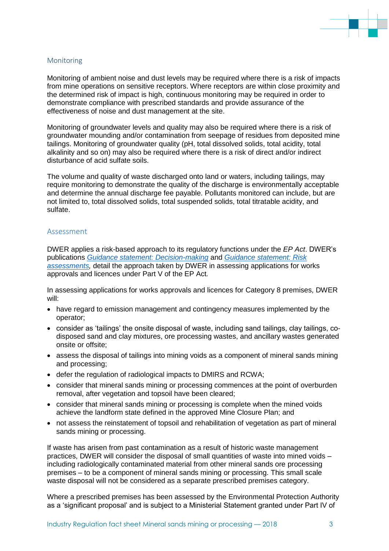

#### Monitoring

Monitoring of ambient noise and dust levels may be required where there is a risk of impacts from mine operations on sensitive receptors. Where receptors are within close proximity and the determined risk of impact is high, continuous monitoring may be required in order to demonstrate compliance with prescribed standards and provide assurance of the effectiveness of noise and dust management at the site.

Monitoring of groundwater levels and quality may also be required where there is a risk of groundwater mounding and/or contamination from seepage of residues from deposited mine tailings. Monitoring of groundwater quality (pH, total dissolved solids, total acidity, total alkalinity and so on) may also be required where there is a risk of direct and/or indirect disturbance of acid sulfate soils.

The volume and quality of waste discharged onto land or waters, including tailings, may require monitoring to demonstrate the quality of the discharge is environmentally acceptable and determine the annual discharge fee payable. Pollutants monitored can include, but are not limited to, total dissolved solids, total suspended solids, total titratable acidity, and sulfate.

#### Assessment

DWER applies a risk-based approach to its regulatory functions under the *EP Act*. DWER's publications *[Guidance statement:](https://www.der.wa.gov.au/images/documents/our-work/licences-and-works-approvals/GS_Decision_Making.pdf) Decision-making* and *[Guidance statement: Risk](https://www.der.wa.gov.au/images/documents/our-work/licences-and-works-approvals/GS_Risk_Assessments.pdf)  [assessments,](https://www.der.wa.gov.au/images/documents/our-work/licences-and-works-approvals/GS_Risk_Assessments.pdf)* detail the approach taken by DWER in assessing applications for works approvals and licences under Part V of the EP Act*.*

In assessing applications for works approvals and licences for Category 8 premises, DWER will:

- have regard to emission management and contingency measures implemented by the operator;
- consider as 'tailings' the onsite disposal of waste, including sand tailings, clay tailings, codisposed sand and clay mixtures, ore processing wastes, and ancillary wastes generated onsite or offsite;
- assess the disposal of tailings into mining voids as a component of mineral sands mining and processing;
- defer the regulation of radiological impacts to DMIRS and RCWA;
- consider that mineral sands mining or processing commences at the point of overburden removal, after vegetation and topsoil have been cleared;
- consider that mineral sands mining or processing is complete when the mined voids achieve the landform state defined in the approved Mine Closure Plan; and
- not assess the reinstatement of topsoil and rehabilitation of vegetation as part of mineral sands mining or processing.

If waste has arisen from past contamination as a result of historic waste management practices, DWER will consider the disposal of small quantities of waste into mined voids – including radiologically contaminated material from other mineral sands ore processing premises – to be a component of mineral sands mining or processing. This small scale waste disposal will not be considered as a separate prescribed premises category.

Where a prescribed premises has been assessed by the Environmental Protection Authority as a 'significant proposal' and is subject to a Ministerial Statement granted under Part IV of